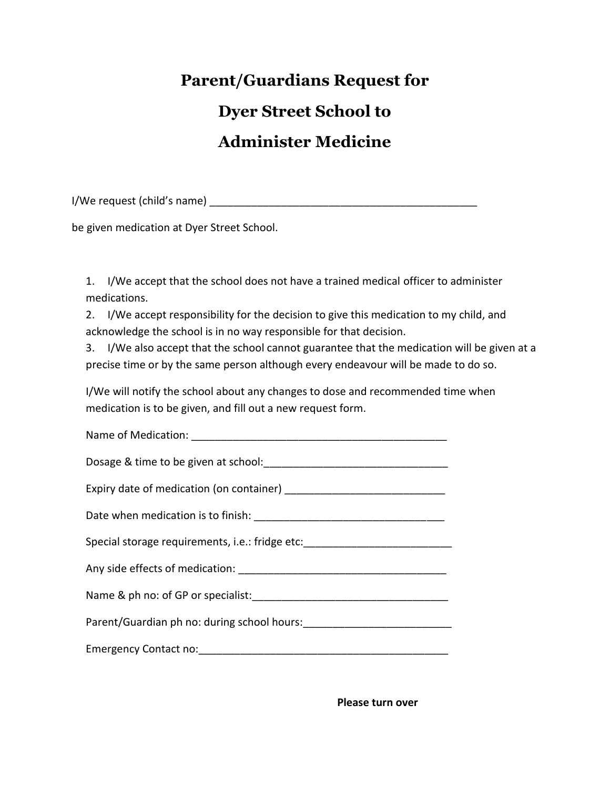## **Parent/Guardians Request for Dyer Street School to Administer Medicine**

I/We request (child's name) \_\_\_\_\_\_\_\_\_\_\_\_\_\_\_\_\_\_\_\_\_\_\_\_\_\_\_\_\_\_\_\_\_\_\_\_\_\_\_\_\_\_\_\_\_

be given medication at Dyer Street School.

1. I/We accept that the school does not have a trained medical officer to administer medications.

2. I/We accept responsibility for the decision to give this medication to my child, and acknowledge the school is in no way responsible for that decision.

3. I/We also accept that the school cannot guarantee that the medication will be given at a precise time or by the same person although every endeavour will be made to do so.

I/We will notify the school about any changes to dose and recommended time when medication is to be given, and fill out a new request form.

| Special storage requirements, i.e.: fridge etc:_________________________________ |
|----------------------------------------------------------------------------------|
|                                                                                  |
|                                                                                  |
|                                                                                  |
|                                                                                  |

**Please turn over**